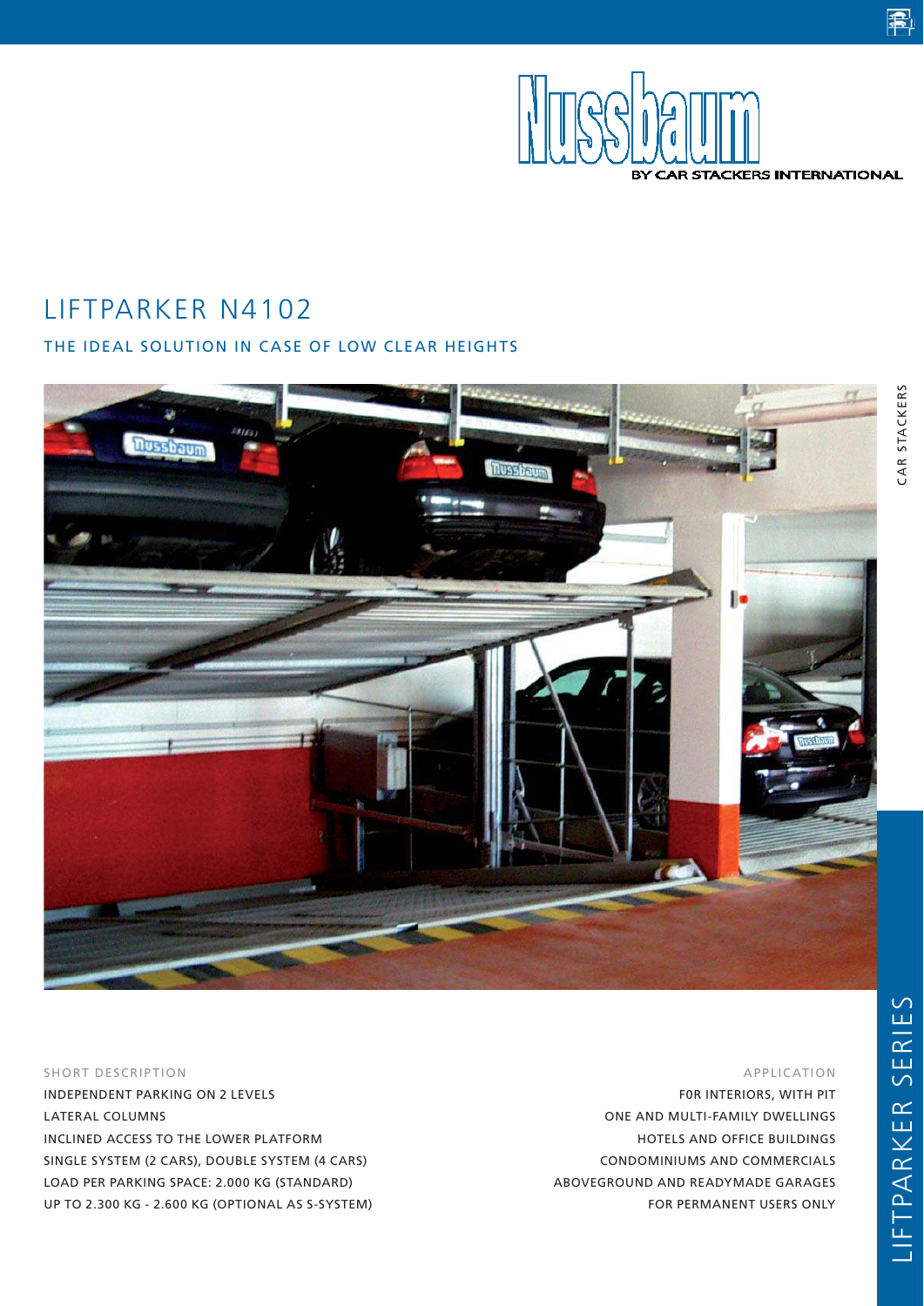

# LIFTPARKER N4102

# THE IDEAL SOLUTION IN CASE OF LOW CLEAR HEIGHTS



#### SHORT DESCRIPTION

INDEPENDENT PARKING ON 2 LEVELS LATERAL COLUMNS INCLINED ACCESS TO THE LOWER PLATFORM SINGLE SYSTEM (2 CARS), DOUBLE SYSTEM (4 CARS) LOAD PER PARKING SPACE: 2.000 KG (STANDARD) UP TO 2.300 KG - 2.600 KG (OPTIONAL AS S-SYSTEM)

#### APPLICATION

F0R INTERIORS, WITH PIT ONE AND MULTI-FAMILY DWELLINGS HOTELS AND OFFICE BUILDINGS CONDOMINIUMS AND COMMERCIALS ABOVEGROUND AND READYMADE GARAGES FOR PERMANENT USERS ONLY

電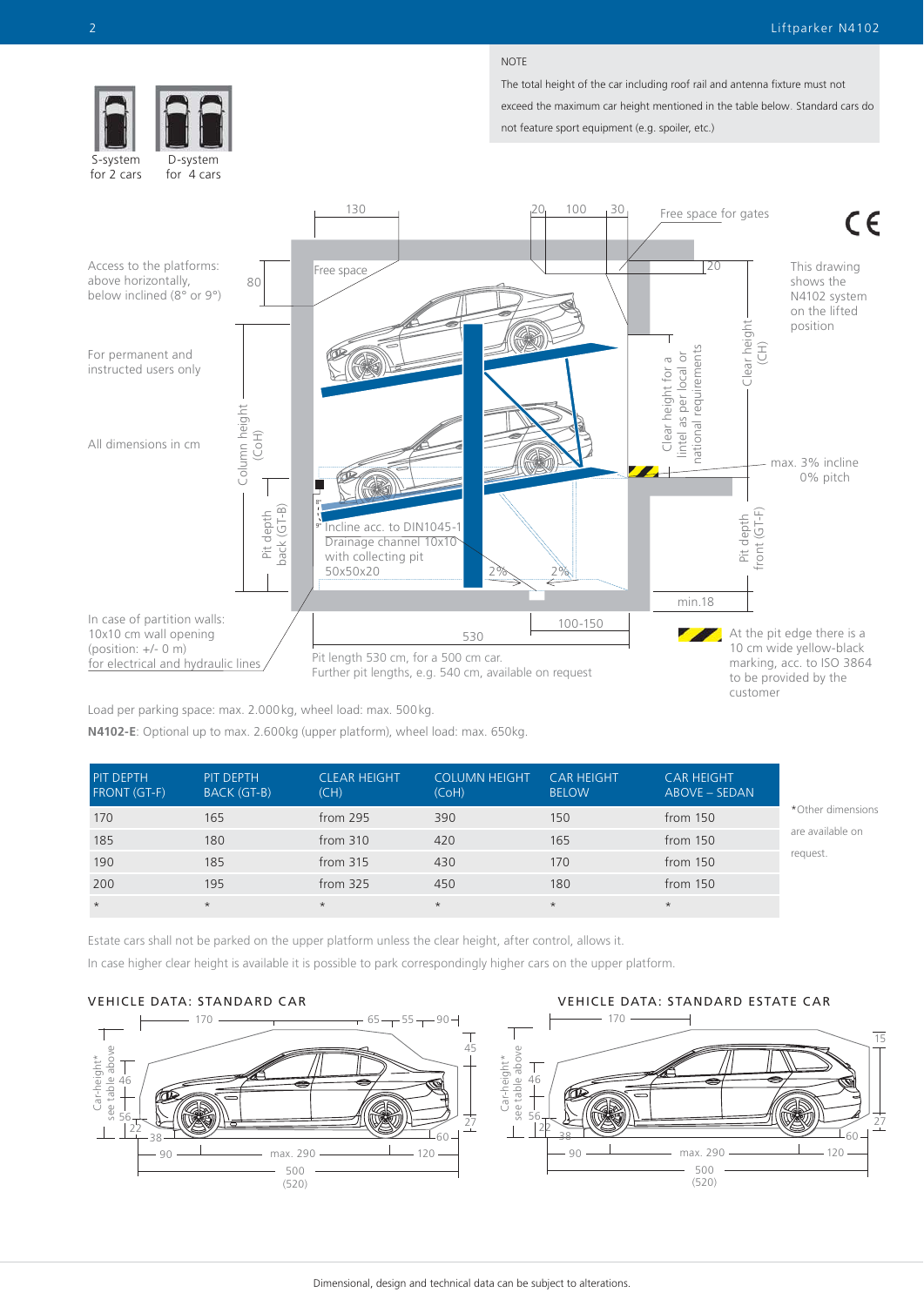#### NOTE

The total height of the car including roof rail and antenna fixture must not exceed the maximum car height mentioned in the table below. Standard cars do not feature sport equipment (e.g. spoiler, etc.)



S-system for 2 cars

D-system for 4 cars



Load per parking space: max. 2.000kg, wheel load: max. 500kg.

**N4102-E**: Optional up to max. 2.600kg (upper platform), wheel load: max. 650kg.

| PIT DEPTH<br><b>FRONT (GT-F)</b> | PIT DEPTH<br><b>BACK (GT-B)</b> | <b>CLEAR HEIGHT</b><br>(CH) | <b>COLUMN HEIGHT</b><br>(CoH) | <b>CAR HEIGHT</b><br><b>BELOW</b> | <b>CAR HEIGHT</b><br>ABOVE - SEDAN |                   |
|----------------------------------|---------------------------------|-----------------------------|-------------------------------|-----------------------------------|------------------------------------|-------------------|
| 170                              | 165                             | from 295                    | 390                           | 150                               | from 150                           | *Other dimensions |
| 185                              | 180                             | from $310$                  | 420                           | 165                               | from 150                           | are available on  |
| 190                              | 185                             | from $315$                  | 430                           | 170                               | from 150                           | request.          |
| 200                              | 195                             | from $325$                  | 450                           | 180                               | from 150                           |                   |
| $\star$                          | $\star$                         | $\star$                     | $\star$                       | $\star$                           | $\star$                            |                   |

Estate cars shall not be parked on the upper platform unless the clear height, after control, allows it. In case higher clear height is available it is possible to park correspondingly higher cars on the upper platform.



VEHICLE DATA: STANDARD CAR VEHICLE DATA: STANDARD ESTATE CAR

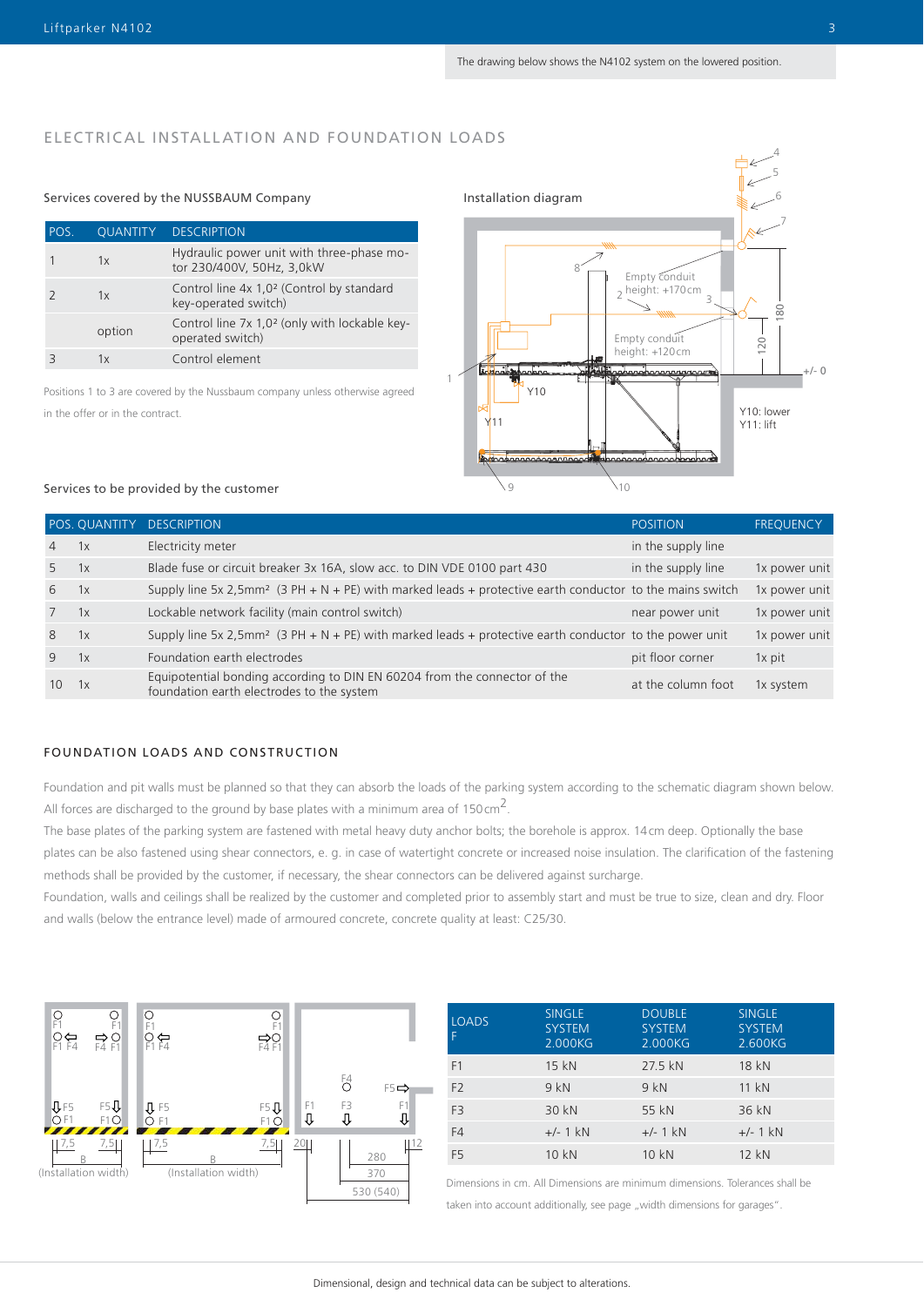# ELECTRICAL INSTALLATION AND FOUNDATION LOADS

### Services covered by the NUSSBAUM Company Installation diagram

| POS. | QUANTITY | <b>DESCRIPTION</b>                                                            |
|------|----------|-------------------------------------------------------------------------------|
|      | 1x       | Hydraulic power unit with three-phase mo-<br>tor 230/400V, 50Hz, 3,0kW        |
|      | 1x       | Control line 4x 1,0 <sup>2</sup> (Control by standard<br>key-operated switch) |
|      | option   | Control line 7x 1,0 <sup>2</sup> (only with lockable key-<br>operated switch) |
|      | 1x       | Control element                                                               |



Positions 1 to 3 are covered by the Nussbaum company unless otherwise agreed in the offer or in the contract.

#### Services to be provided by the customer

|                | POS. QUANTITY | <b>DESCRIPTION</b>                                                                                                     | <b>POSITION</b>    | <b>FREQUENCY</b> |
|----------------|---------------|------------------------------------------------------------------------------------------------------------------------|--------------------|------------------|
| $\overline{4}$ | 1x            | Electricity meter                                                                                                      | in the supply line |                  |
| 5              | 1x            | Blade fuse or circuit breaker 3x 16A, slow acc. to DIN VDE 0100 part 430                                               | in the supply line | 1x power unit    |
| 6              | 1x            | Supply line 5x 2,5mm <sup>2</sup> (3 PH + N + PE) with marked leads + protective earth conductor to the mains switch   |                    | 1x power unit    |
|                | 1x            | Lockable network facility (main control switch)                                                                        | near power unit    | 1x power unit    |
| 8              | 1x            | Supply line 5x 2,5mm <sup>2</sup> (3 PH + N + PE) with marked leads + protective earth conductor to the power unit     |                    | 1x power unit    |
| 9              | 1x            | Foundation earth electrodes                                                                                            | pit floor corner   | $1x$ pit         |
| 10             | 1x            | Equipotential bonding according to DIN EN 60204 from the connector of the<br>foundation earth electrodes to the system | at the column foot | 1x system        |

#### FOUNDATION LOADS AND CONSTRUCTION

Foundation and pit walls must be planned so that they can absorb the loads of the parking system according to the schematic diagram shown below. All forces are discharged to the ground by base plates with a minimum area of 150 cm<sup>2</sup>.

The base plates of the parking system are fastened with metal heavy duty anchor bolts; the borehole is approx. 14cm deep. Optionally the base plates can be also fastened using shear connectors, e. g. in case of watertight concrete or increased noise insulation. The clarification of the fastening methods shall be provided by the customer, if necessary, the shear connectors can be delivered against surcharge.

Foundation, walls and ceilings shall be realized by the customer and completed prior to assembly start and must be true to size, clean and dry. Floor and walls (below the entrance level) made of armoured concrete, concrete quality at least: C25/30.



| <b>LOADS</b>   | <b>SINGLE</b><br><b>SYSTEM</b><br>2.000KG | <b>DOUBLE</b><br><b>SYSTEM</b><br>2.000KG | <b>SINGLE</b><br><b>SYSTEM</b><br>2.600KG |
|----------------|-------------------------------------------|-------------------------------------------|-------------------------------------------|
| F <sub>1</sub> | 15 kN                                     | 27.5 kN                                   | 18 kN                                     |
| F <sub>2</sub> | 9kN                                       | 9kN                                       | 11 kN                                     |
| F <sub>3</sub> | 30 kN                                     | 55 kN                                     | 36 kN                                     |
| F4             | $+/- 1$ kN                                | $+/- 1$ kN                                | $+/- 1$ kN                                |
| F <sub>5</sub> | 10 kN                                     | 10 kN                                     | 12 kN                                     |

Dimensions in cm. All Dimensions are minimum dimensions. Tolerances shall be

taken into account additionally, see page "width dimensions for garages".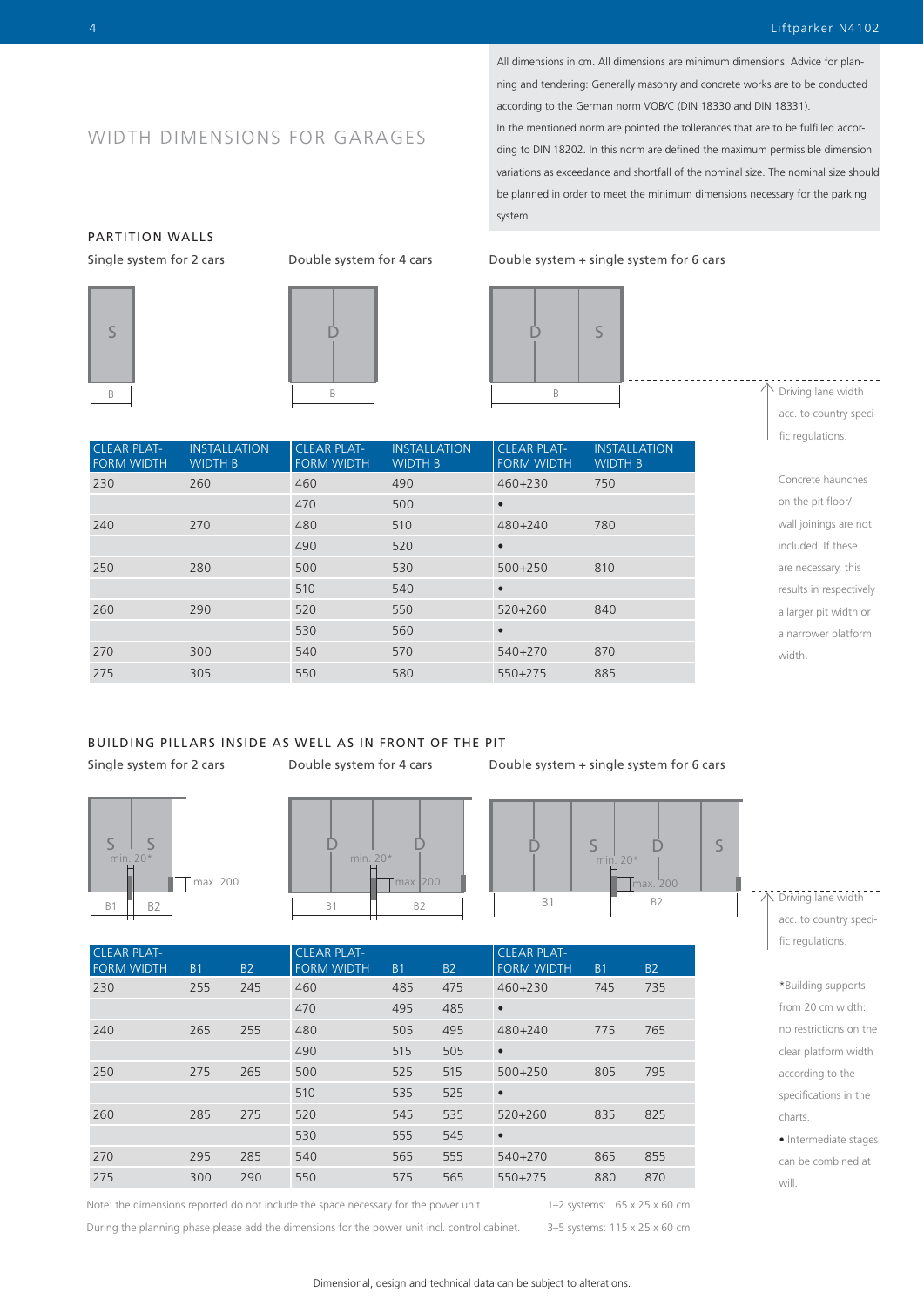All dimensions in cm. All dimensions are minimum dimensions. Advice for planning and tendering: Generally masonry and concrete works are to be conducted according to the German norm VOB/C (DIN 18330 and DIN 18331). In the mentioned norm are pointed the tollerances that are to be fulfilled according to DIN 18202. In this norm are defined the maximum permissible dimension variations as exceedance and shortfall of the nominal size. The nominal size should be planned in order to meet the minimum dimensions necessary for the parking

system.

Single system for 2 cars Double system for 4 cars Double system + single system for 6 cars



 $\backslash$  Driving lane width acc. to country specific regulations.

Concrete haunches on the pit floor/ wall joinings are not included. If these are necessary, this results in respectively a larger pit width or a narrower platform width.

# WIDTH DIMENSIONS FOR GARAGES

PARTITION WALLS



 $\dot{\mathsf{D}}$ 

| <b>CLEAR PLAT-</b><br><b>FORM WIDTH</b> | <b>INSTALLATION</b><br><b>WIDTH B</b> | <b>CLEAR PLAT-</b><br><b>FORM WIDTH</b> | <b>INSTALLATION</b><br><b>WIDTH B</b> | <b>CLEAR PLAT-</b><br><b>FORM WIDTH</b> | <b>INSTALLATION</b><br><b>WIDTH B</b> |
|-----------------------------------------|---------------------------------------|-----------------------------------------|---------------------------------------|-----------------------------------------|---------------------------------------|
| 230                                     | 260                                   | 460                                     | 490                                   | $460 + 230$                             | 750                                   |
|                                         |                                       | 470                                     | 500                                   | $\bullet$                               |                                       |
| 240                                     | 270                                   | 480                                     | 510                                   | 480+240                                 | 780                                   |
|                                         |                                       | 490                                     | 520                                   | $\bullet$                               |                                       |
| 250                                     | 280                                   | 500                                     | 530                                   | $500 + 250$                             | 810                                   |
|                                         |                                       | 510                                     | 540                                   | $\bullet$                               |                                       |
| 260                                     | 290                                   | 520                                     | 550                                   | $520+260$                               | 840                                   |
|                                         |                                       | 530                                     | 560                                   | $\bullet$                               |                                       |
| 270                                     | 300                                   | 540                                     | 570                                   | $540 + 270$                             | 870                                   |
| 275                                     | 305                                   | 550                                     | 580                                   | $550+275$                               | 885                                   |

# BUILDING PILLARS INSIDE AS WELL AS IN FRONT OF THE PIT

Single system for 2 cars Double system for 4 cars Double system + single system for 6 cars







| <b>CLEAR PLAT-</b><br><b>FORM WIDTH</b> | <b>B1</b> | <b>B2</b> | <b>CLEAR PLAT-</b><br><b>FORM WIDTH</b> | B <sub>1</sub> | <b>B2</b> | <b>CLEAR PLAT-</b><br><b>FORM WIDTH</b> | B <sub>1</sub> | <b>B2</b> |
|-----------------------------------------|-----------|-----------|-----------------------------------------|----------------|-----------|-----------------------------------------|----------------|-----------|
| 230                                     | 255       | 245       | 460                                     | 485            | 475       | $460 + 230$                             | 745            | 735       |
|                                         |           |           | 470                                     | 495            | 485       | $\bullet$                               |                |           |
| 240                                     | 265       | 255       | 480                                     | 505            | 495       | 480+240                                 | 775            | 765       |
|                                         |           |           | 490                                     | 515            | 505       | $\bullet$                               |                |           |
| 250                                     | 275       | 265       | 500                                     | 525            | 515       | $500+250$                               | 805            | 795       |
|                                         |           |           | 510                                     | 535            | 525       | $\bullet$                               |                |           |
| 260                                     | 285       | 275       | 520                                     | 545            | 535       | $520 + 260$                             | 835            | 825       |
|                                         |           |           | 530                                     | 555            | 545       | $\bullet$                               |                |           |
| 270                                     | 295       | 285       | 540                                     | 565            | 555       | 540+270                                 | 865            | 855       |
| 275                                     | 300       | 290       | 550                                     | 575            | 565       | $550+275$                               | 880            | 870       |

Note: the dimensions reported do not include the space necessary for the power unit.

During the planning phase please add the dimensions for the power unit incl. control cabinet.

1–2 systems: 65 x 25 x 60 cm 3–5 systems: 115 x 25 x 60 cm

#### Driving lane width

acc. to country specific regulations.

\*Building supports from 20 cm width: no restrictions on the clear platform width according to the specifications in the charts.

• Intermediate stages can be combined at will.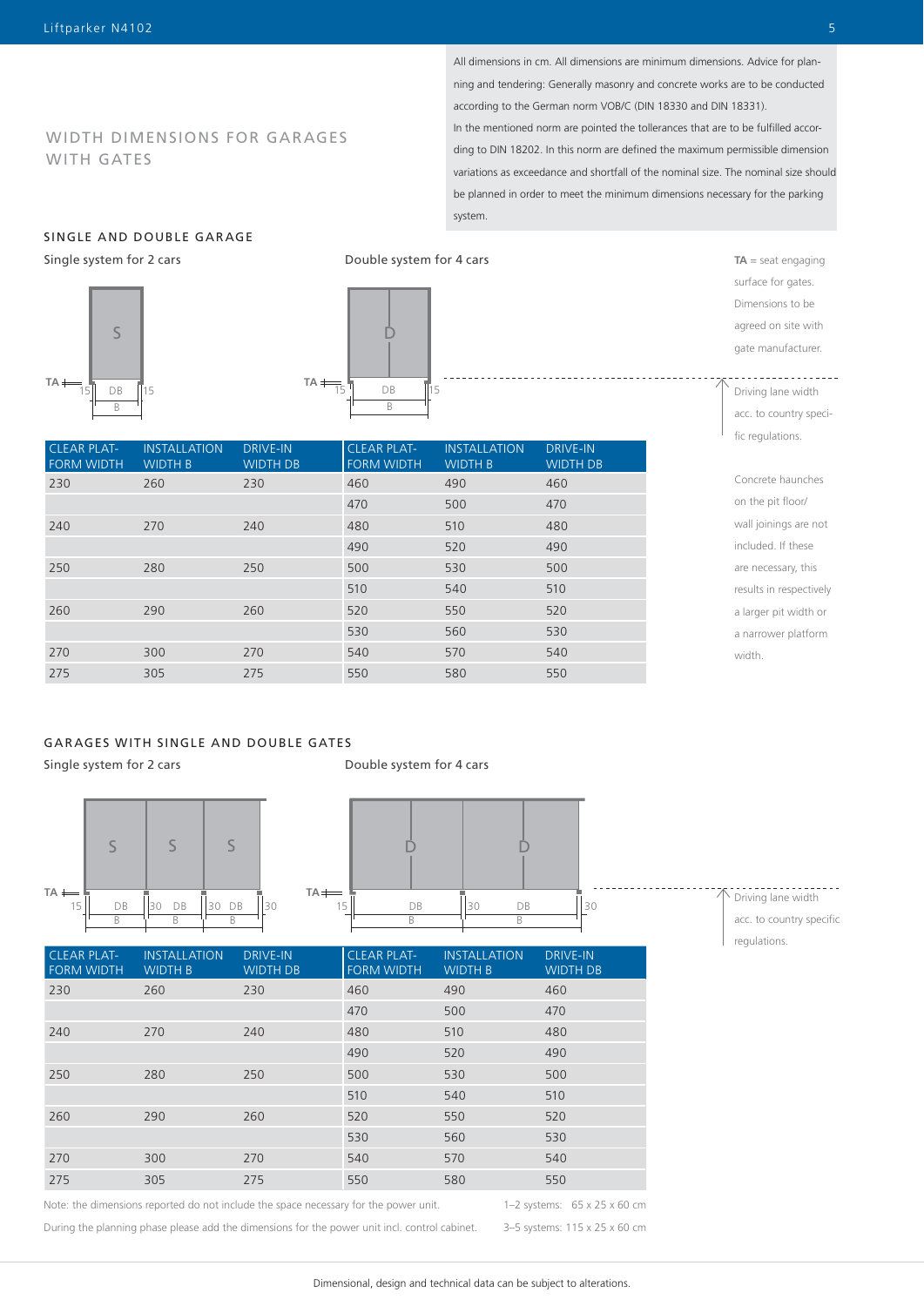All dimensions in cm. All dimensions are minimum dimensions. Advice for planning and tendering: Generally masonry and concrete works are to be conducted according to the German norm VOB/C (DIN 18330 and DIN 18331). In the mentioned norm are pointed the tollerances that are to be fulfilled according to DIN 18202. In this norm are defined the maximum permissible dimension variations as exceedance and shortfall of the nominal size. The nominal size should be planned in order to meet the minimum dimensions necessary for the parking system.

# SINGLE AND DOUBLE GARAGE

Single system for 2 cars





| <b>CLEAR PLAT-</b><br><b>FORM WIDTH</b> | <b>INSTALLATION</b><br><b>WIDTH B</b> | <b>DRIVE-IN</b><br><b>WIDTH DB</b> | <b>CLEAR PLAT-</b><br><b>FORM WIDTH</b> | <b>INSTALLATION</b><br><b>WIDTH B</b> | <b>DRIVE-IN</b><br><b>WIDTH DB</b> |
|-----------------------------------------|---------------------------------------|------------------------------------|-----------------------------------------|---------------------------------------|------------------------------------|
| 230                                     | 260                                   | 230                                | 460                                     | 490                                   | 460                                |
|                                         |                                       |                                    | 470                                     | 500                                   | 470                                |
| 240                                     | 270                                   | 240                                | 480                                     | 510                                   | 480                                |
|                                         |                                       |                                    | 490                                     | 520                                   | 490                                |
| 250                                     | 280                                   | 250                                | 500                                     | 530                                   | 500                                |
|                                         |                                       |                                    | 510                                     | 540                                   | 510                                |
| 260                                     | 290                                   | 260                                | 520                                     | 550                                   | 520                                |
|                                         |                                       |                                    | 530                                     | 560                                   | 530                                |
| 270                                     | 300                                   | 270                                | 540                                     | 570                                   | 540                                |
| 275                                     | 305                                   | 275                                | 550                                     | 580                                   | 550                                |

### GARAGES WITH SINGLE AND DOUBLE GATES

Single system for 2 cars

Double system for 4 cars



Note: the dimensions reported do not include the space necessary for the power unit.

During the planning phase please add the dimensions for the power unit incl. control cabinet.

3–5 systems: 115 x 25 x 60 cm

Dimensions to be agreed on site with gate manufacturer. <u>. . . . . .</u>

**TA** = seat engaging surface for gates.

Driving lane width acc. to country specific regulations.

Concrete haunches on the pit floor/ wall joinings are not included. If these are necessary, this results in respectively a larger pit width or a narrower platform width.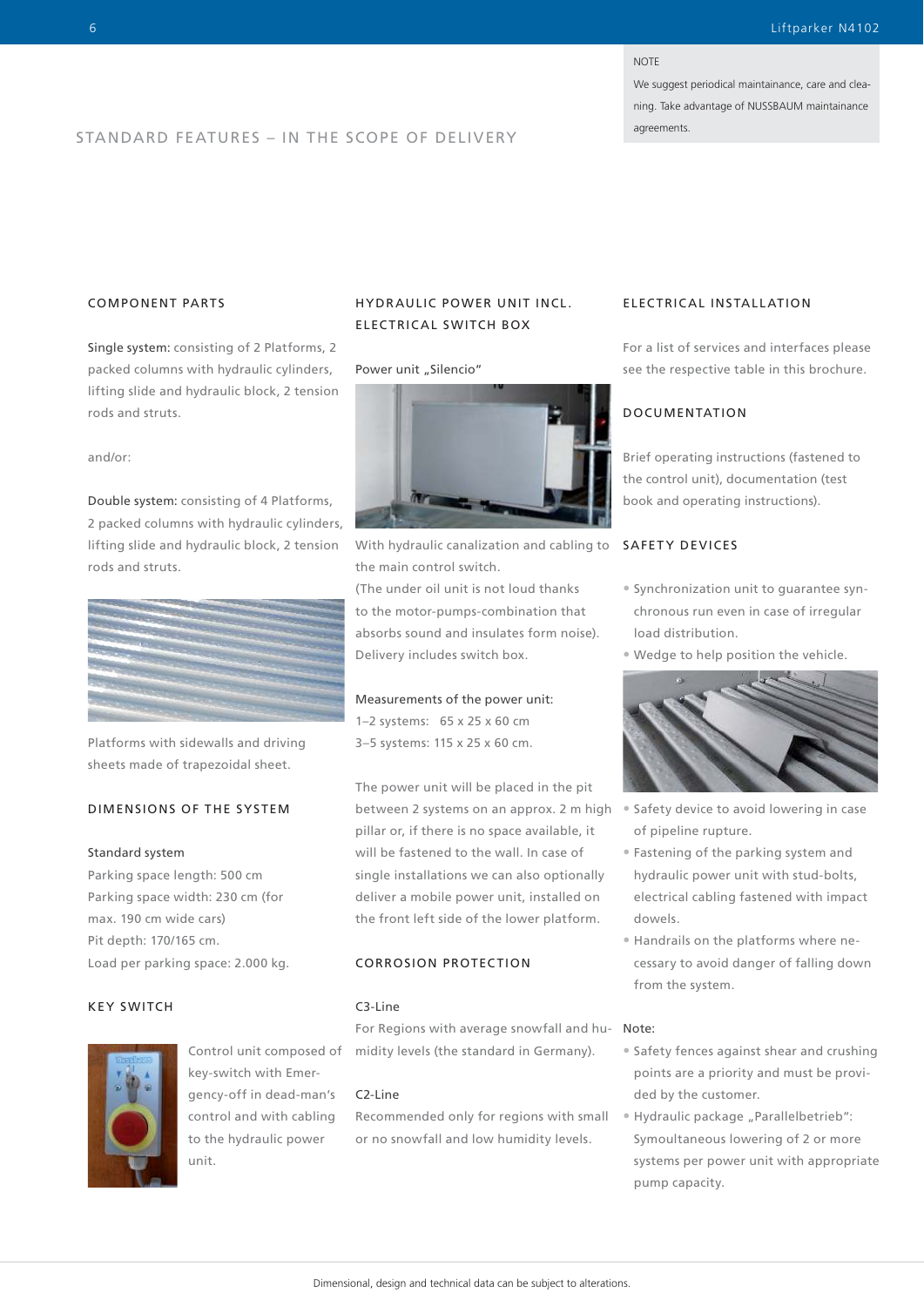#### **NOTE**

We suggest periodical maintainance, care and cleaning. Take advantage of NUSSBAUM maintainance

# agreements. STANDARD FEATURES – IN THE SCOPE OF DELIVERY

# COMPONENT PARTS

Single system: consisting of 2 Platforms, 2 packed columns with hydraulic cylinders, lifting slide and hydraulic block, 2 tension rods and struts.

and/or:

Double system: consisting of 4 Platforms, 2 packed columns with hydraulic cylinders, lifting slide and hydraulic block, 2 tension rods and struts.



Platforms with sidewalls and driving sheets made of trapezoidal sheet.

# DIMENSIONS OF THE SYSTEM

#### Standard system

Parking space length: 500 cm Parking space width: 230 cm (for max. 190 cm wide cars) Pit depth: 170/165 cm. Load per parking space: 2.000 kg.

#### KEY SWITCH



Control unit composed of key-switch with Emergency-off in dead-man's control and with cabling to the hydraulic power unit.

# HYDR AULIC POWER UNIT INCL. ELECTRICAL SWITCH BOX

#### Power unit "Silencio"



With hydraulic canalization and cabling to **SAFETY DEVICES** the main control switch.

(The under oil unit is not loud thanks to the motor-pumps-combination that absorbs sound and insulates form noise). Delivery includes switch box.

#### Measurements of the power unit:

1–2 systems: 65 x 25 x 60 cm 3–5 systems: 115 x 25 x 60 cm.

The power unit will be placed in the pit between 2 systems on an approx. 2 m high pillar or, if there is no space available, it will be fastened to the wall. In case of single installations we can also optionally deliver a mobile power unit, installed on the front left side of the lower platform.

### CORROSION PROTECTION

#### C3-Line

For Regions with average snowfall and humidity levels (the standard in Germany).

#### C2-Line

Recommended only for regions with small or no snowfall and low humidity levels.

#### ELECTRICAL INSTALLATION

For a list of services and interfaces please see the respective table in this brochure.

# DOCUMENTATION

Brief operating instructions (fastened to the control unit), documentation (test book and operating instructions).

- Synchronization unit to guarantee synchronous run even in case of irregular load distribution.
- Wedge to help position the vehicle.



- Safety device to avoid lowering in case of pipeline rupture.
- Fastening of the parking system and hydraulic power unit with stud-bolts, electrical cabling fastened with impact dowels.
- Handrails on the platforms where necessary to avoid danger of falling down from the system.

#### Note:

- Safety fences against shear and crushing points are a priority and must be provided by the customer.
- Hydraulic package "Parallelbetrieb": Symoultaneous lowering of 2 or more systems per power unit with appropriate pump capacity.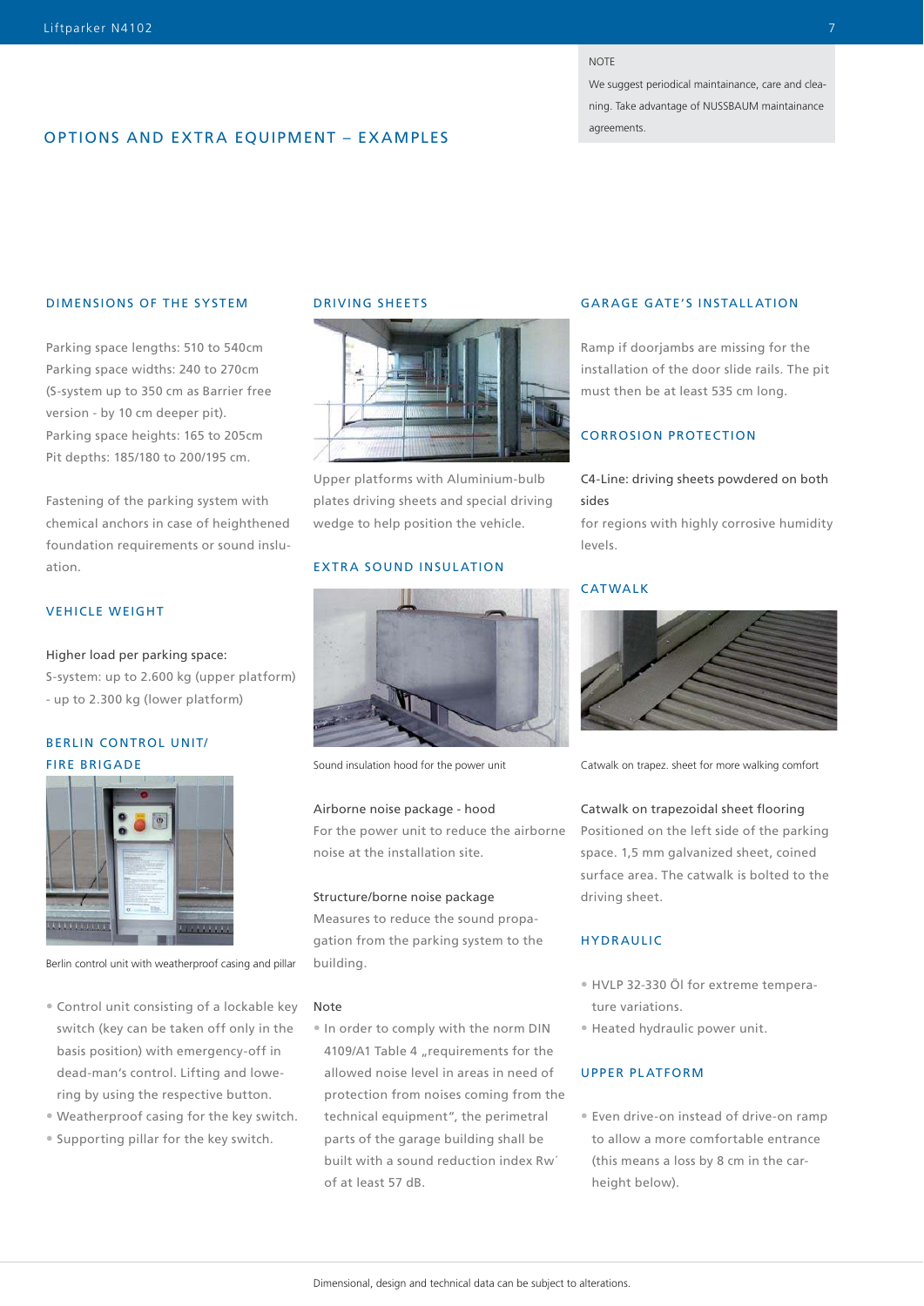#### NOTE

We suggest periodical maintainance, care and cleaning. Take advantage of NUSSBAUM maintainance agreements.

# OPTIONS AND EXTRA EQUIPMENT – EXAMPLES

#### DIMENSIONS OF THE SYSTEM

Parking space lengths: 510 to 540cm Parking space widths: 240 to 270cm (S-system up to 350 cm as Barrier free version - by 10 cm deeper pit). Parking space heights: 165 to 205cm Pit depths: 185/180 to 200/195 cm.

Fastening of the parking system with chemical anchors in case of heighthened foundation requirements or sound insluation.

# VEHICLE WEIGHT

Higher load per parking space:

S-system: up to 2.600 kg (upper platform) - up to 2.300 kg (lower platform)

# BERLIN CONTROL UNIT/ FIRE BRIGADE



Berlin control unit with weatherproof casing and pillar

- Control unit consisting of a lockable key switch (key can be taken off only in the basis position) with emergency-off in dead-man's control. Lifting and lowering by using the respective button.
- Weatherproof casing for the key switch.
- Supporting pillar for the key switch.

# DRIVING SHEETS



Upper platforms with Aluminium-bulb plates driving sheets and special driving wedge to help position the vehicle.

#### EXTRA SOUND INSULATION



Sound insulation hood for the power unit

#### Airborne noise package - hood

For the power unit to reduce the airborne noise at the installation site.

#### Structure/borne noise package

Measures to reduce the sound propagation from the parking system to the building.

#### Note

• In order to comply with the norm DIN 4109/A1 Table 4 "requirements for the allowed noise level in areas in need of protection from noises coming from the technical equipment", the perimetral parts of the garage building shall be built with a sound reduction index Rw´ of at least 57 dB.

#### GAR AGE GATE'S INSTALL ATION

Ramp if doorjambs are missing for the installation of the door slide rails. The pit must then be at least 535 cm long.

# CORROSION PROTECTION

# C4-Line: driving sheets powdered on both sides

for regions with highly corrosive humidity levels.

#### CATWALK



Catwalk on trapez. sheet for more walking comfort

#### Catwalk on trapezoidal sheet flooring

Positioned on the left side of the parking space. 1,5 mm galvanized sheet, coined surface area. The catwalk is bolted to the driving sheet.

#### HYDRAULIC

- HVLP 32-330 Öl for extreme temperature variations.
- Heated hydraulic power unit.

#### UPPER PLATFORM

• Even drive-on instead of drive-on ramp to allow a more comfortable entrance (this means a loss by 8 cm in the carheight below).